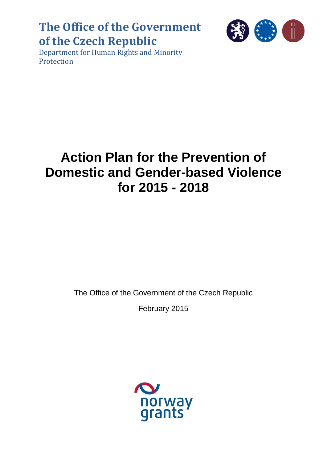## **The Office of the Government of the Czech Republic**



Department for Human Rights and Minority Protection

# **Action Plan for the Prevention of Domestic and Gender-based Violence for 2015 - 2018**

The Office of the Government of the Czech Republic

February 2015

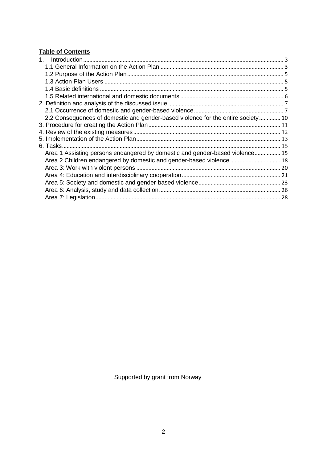## **Table of Contents**

| 2.2 Consequences of domestic and gender-based violence for the entire society 10 |  |
|----------------------------------------------------------------------------------|--|
|                                                                                  |  |
|                                                                                  |  |
|                                                                                  |  |
|                                                                                  |  |
| Area 1 Assisting persons endangered by domestic and gender-based violence 15     |  |
| Area 2 Children endangered by domestic and gender-based violence  18             |  |
|                                                                                  |  |
|                                                                                  |  |
|                                                                                  |  |
|                                                                                  |  |
|                                                                                  |  |

Supported by grant from Norway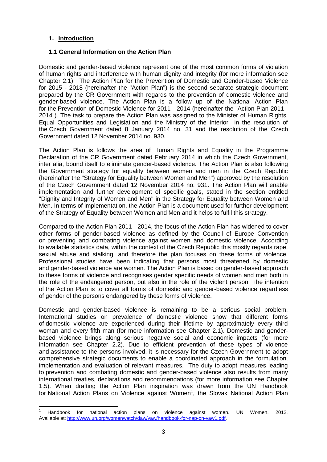## <span id="page-2-0"></span>**1. Introduction**

 $\overline{a}$ 

## <span id="page-2-1"></span>**1.1 General Information on the Action Plan**

Domestic and gender-based violence represent one of the most common forms of violation of human rights and interference with human dignity and integrity (for more information see Chapter 2.1). The Action Plan for the Prevention of Domestic and Gender-based Violence for 2015 - 2018 (hereinafter the "Action Plan") is the second separate strategic document prepared by the CR Government with regards to the prevention of domestic violence and gender-based violence. The Action Plan is a follow up of the National Action Plan for the Prevention of Domestic Violence for 2011 - 2014 (hereinafter the "Action Plan 2011 - 2014"). The task to prepare the Action Plan was assigned to the Minister of Human Rights, Equal Opportunities and Legislation and the Ministry of the Interior in the resolution of the Czech Government dated 8 January 2014 no. 31 and the resolution of the Czech Government dated 12 November 2014 no. 930.

The Action Plan is follows the area of Human Rights and Equality in the Programme Declaration of the CR Government dated February 2014 in which the Czech Government, inter alia, bound itself to eliminate gender-based violence. The Action Plan is also following the Government strategy for equality between women and men in the Czech Republic (hereinafter the "Strategy for Equality between Women and Men") approved by the resolution of the Czech Government dated 12 November 2014 no. 931. The Action Plan will enable implementation and further development of specific goals, stated in the section entitled "Dignity and Integrity of Women and Men" in the Strategy for Equality between Women and Men. In terms of implementation, the Action Plan is a document used for further development of the Strategy of Equality between Women and Men and it helps to fulfil this strategy.

Compared to the Action Plan 2011 - 2014, the focus of the Action Plan has widened to cover other forms of gender-based violence as defined by the Council of Europe Convention on preventing and combating violence against women and domestic violence. According to available statistics data, within the context of the Czech Republic this mostly regards rape, sexual abuse and stalking, and therefore the plan focuses on these forms of violence. Professional studies have been indicating that persons most threatened by domestic and gender-based violence are women. The Action Plan is based on gender-based approach to these forms of violence and recognises gender specific needs of women and men both in the role of the endangered person, but also in the role of the violent person. The intention of the Action Plan is to cover all forms of domestic and gender-based violence regardless of gender of the persons endangered by these forms of violence.

Domestic and gender-based violence is remaining to be a serious social problem. International studies on prevalence of domestic violence show that different forms of domestic violence are experienced during their lifetime by approximately every third woman and every fifth man (for more information see Chapter 2.1). Domestic and genderbased violence brings along serious negative social and economic impacts (for more information see Chapter 2.2). Due to efficient prevention of these types of violence and assistance to the persons involved, it is necessary for the Czech Government to adopt comprehensive strategic documents to enable a coordinated approach in the formulation, implementation and evaluation of relevant measures. The duty to adopt measures leading to prevention and combating domestic and gender-based violence also results from many international treaties, declarations and recommendations (for more information see Chapter 1.5). When drafting the Action Plan inspiration was drawn from the UN Handbook for National Action Plans on Violence against Women<sup>1</sup>, the Slovak National Action Plan

<sup>1</sup> Handbook for national action plans on violence against women. UN Women, 2012. Available at: [http://www.un.org/womenwatch/daw/vaw/handbook-for-nap-on-vaw1.pdf.](http://www.un.org/womenwatch/daw/vaw/handbook-for-nap-on-vaw1.pdf)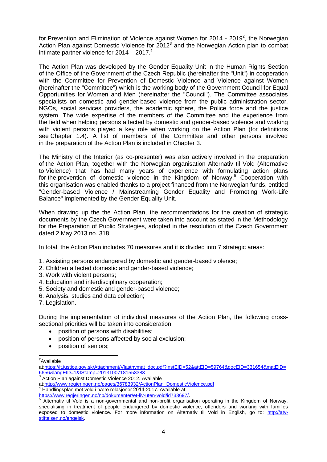for Prevention and Elimination of Violence against Women for 2014 - 2019<sup>2</sup>, the Norwegian Action Plan against Domestic Violence for  $2012<sup>3</sup>$  and the Norwegian Action plan to combat intimate partner violence for  $2014 - 2017$ .<sup>4</sup>

The Action Plan was developed by the Gender Equality Unit in the Human Rights Section of the Office of the Government of the Czech Republic (hereinafter the "Unit") in cooperation with the Committee for Prevention of Domestic Violence and Violence against Women (hereinafter the "Committee") which is the working body of the Government Council for Equal Opportunities for Women and Men (hereinafter the "Council"). The Committee associates specialists on domestic and gender-based violence from the public administration sector, NGOs, social services providers, the academic sphere, the Police force and the justice system. The wide expertise of the members of the Committee and the experience from the field when helping persons affected by domestic and gender-based violence and working with violent persons played a key role when working on the Action Plan (for definitions see Chapter 1.4). A list of members of the Committee and other persons involved in the preparation of the Action Plan is included in Chapter 3.

The Ministry of the Interior (as co-presenter) was also actively involved in the preparation of the Action Plan, together with the Norwegian organisation Alternativ til Vold (Alternative to Violence) that has had many years of experience with formulating action plans for the prevention of domestic violence in the Kingdom of Norway.<sup>5</sup> Cooperation with this organisation was enabled thanks to a project financed from the Norwegian funds, entitled "Gender-based Violence / Mainstreaming Gender Equality and Promoting Work-Life Balance" implemented by the Gender Equality Unit.

When drawing up the the Action Plan, the recommendations for the creation of strategic documents by the Czech Government were taken into account as stated in the Methodology for the Preparation of Public Strategies, adopted in the resolution of the Czech Government dated 2 May 2013 no. 318.

In total, the Action Plan includes 70 measures and it is divided into 7 strategic areas:

- 1. Assisting persons endangered by domestic and gender-based violence;
- 2. Children affected domestic and gender-based violence;
- 3. Work with violent persons;
- 4. Education and interdisciplinary cooperation;
- 5. Society and domestic and gender-based violence;
- 6. Analysis, studies and data collection;
- 7. Legislation.

During the implementation of individual measures of the Action Plan, the following crosssectional priorities will be taken into consideration:

- position of persons with disabilities:
- position of persons affected by social exclusion;
- position of seniors;

<sup>&</sup>lt;u>-</u><br><sup>2</sup>Available

at[:https://lt.justice.gov.sk/Attachment/Vlastnymat\\_doc.pdf?instEID=52&attEID=59764&docEID=331654&matEID=](https://lt.justice.gov.sk/Attachment/Vlastnymat_doc.pdf?instEID=52&attEID=59764&docEID=331654&matEID=6656&langEID=1&tStamp=20131007181553383) [6656&langEID=1&tStamp=20131007181553383](https://lt.justice.gov.sk/Attachment/Vlastnymat_doc.pdf?instEID=52&attEID=59764&docEID=331654&matEID=6656&langEID=1&tStamp=20131007181553383)

<sup>&</sup>lt;sup>3</sup> Action Plan against Domestic Violence 2012. Available

at[:http://www.regjeringen.no/pages/36783932/ActionPlan\\_DomesticViolence.pdf](http://www.regjeringen.no/pages/36783932/ActionPlan_DomesticViolence.pdf)

<sup>4</sup> Handlingsplan mot vold i nære relasjoner 2014-2017. Available at:

[https://www.regjeringen.no/nb/dokumenter/et-liv-uten-vold/id733697/.](https://www.regjeringen.no/nb/dokumenter/et-liv-uten-vold/id733697/)<br>5. Alternativ, til. Vold in a non governmentel, ond non profit ergenise

Alternativ til Vold is a non-governmental and non-profit organisation operating in the Kingdom of Norway, specialising in treatment of people endangered by domestic violence, offenders and working with families exposed to domestic violence. For more information on Alternativ til Vold in English, go to: [http://atv](http://atv-stiftelsen.no/engelsk)[stiftelsen.no/engelsk.](http://atv-stiftelsen.no/engelsk)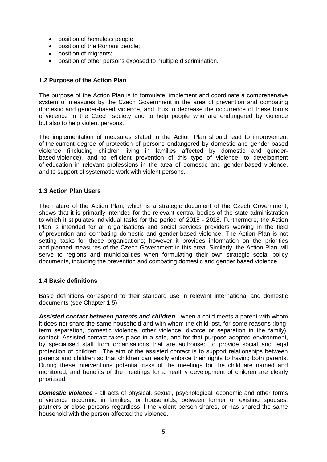- position of homeless people;
- position of the Romani people;
- position of migrants:
- position of other persons exposed to multiple discrimination.

## <span id="page-4-0"></span>**1.2 Purpose of the Action Plan**

The purpose of the Action Plan is to formulate, implement and coordinate a comprehensive system of measures by the Czech Government in the area of prevention and combating domestic and gender-based violence, and thus to decrease the occurrence of these forms of violence in the Czech society and to help people who are endangered by violence but also to help violent persons.

The implementation of measures stated in the Action Plan should lead to improvement of the current degree of protection of persons endangered by domestic and gender-based violence (including children living in families affected by domestic and genderbased violence), and to efficient prevention of this type of violence, to development of education in relevant professions in the area of domestic and gender-based violence, and to support of systematic work with violent persons.

## <span id="page-4-1"></span>**1.3 Action Plan Users**

The nature of the Action Plan, which is a strategic document of the Czech Government, shows that it is primarily intended for the relevant central bodies of the state administration to which it stipulates individual tasks for the period of 2015 - 2018. Furthermore, the Action Plan is intended for all organisations and social services providers working in the field of prevention and combating domestic and gender-based violence. The Action Plan is not setting tasks for these organisations; however it provides information on the priorities and planned measures of the Czech Government in this area. Similarly, the Action Plan will serve to regions and municipalities when formulating their own strategic social policy documents, including the prevention and combating domestic and gender based violence.

## <span id="page-4-2"></span>**1.4 Basic definitions**

Basic definitions correspond to their standard use in relevant international and domestic documents (see Chapter 1.5).

*Assisted contact between parents and children* - when a child meets a parent with whom it does not share the same household and with whom the child lost, for some reasons (longterm separation, domestic violence, other violence, divorce or separation in the family), contact. Assisted contact takes place in a safe, and for that purpose adopted environment, by specialised staff from organisations that are authorised to provide social and legal protection of children. The aim of the assisted contact is to support relationships between parents and children so that children can easily enforce their rights to having both parents. During these interventions potential risks of the meetings for the child are named and monitored, and benefits of the meetings for a healthy development of children are clearly prioritised.

**Domestic violence** - all acts of physical, sexual, psychological, economic and other forms of violence occurring in families, or households, between former or existing spouses, partners or close persons regardless if the violent person shares, or has shared the same household with the person affected the violence.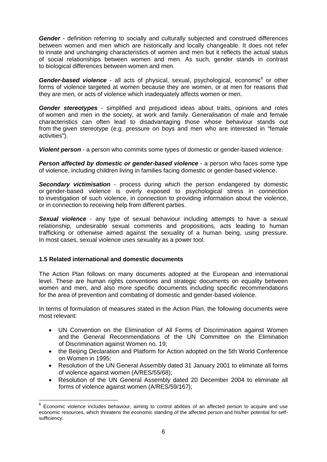*Gender* - definition referring to socially and culturally subjected and construed differences between women and men which are historically and locally changeable. It does not refer to innate and unchanging characteristics of women and men but it reflects the actual status of social relationships between women and men. As such, gender stands in contrast to biological differences between women and men.

Gender-based violence - all acts of physical, sexual, psychological, economic<sup>6</sup> or other forms of violence targeted at women because they are women, or at men for reasons that they are men, or acts of violence which inadequately affects women or men.

*Gender stereotypes* - simplified and prejudiced ideas about traits, opinions and roles of women and men in the society, at work and family. Generalisation of male and female characteristics can often lead to disadvantaging those whose behaviour stands out from the given stereotype (e.g. pressure on boys and men who are interested in "female activities").

*Violent person* - a person who commits some types of domestic or gender-based violence.

**Person affected by domestic or gender-based violence** - a person who faces some type of violence, including children living in families facing domestic or gender-based violence.

*Secondary victimisation* - process during which the person endangered by domestic or gender-based violence is overly exposed to psychological stress in connection to investigation of such violence, in connection to providing information about the violence, or in connection to receiving help from different parties.

**Sexual violence** - any type of sexual behaviour including attempts to have a sexual relationship, undesirable sexual comments and propositions, acts leading to human trafficking or otherwise aimed against the sexuality of a human being, using pressure. In most cases, sexual violence uses sexuality as a power tool.

## <span id="page-5-0"></span>**1.5 Related international and domestic documents**

 $\overline{\phantom{a}}$ 

The Action Plan follows on many documents adopted at the European and international level. These are human rights conventions and strategic documents on equality between women and men, and also more specific documents including specific recommendations for the area of prevention and combating of domestic and gender-based violence.

In terms of formulation of measures stated in the Action Plan, the following documents were most relevant:

- UN Convention on the Elimination of All Forms of Discrimination against Women and the General Recommendations of the UN Committee on the Elimination of Discrimination against Women no. 19;
- the Beijing Declaration and Platform for Action adopted on the 5th World Conference on Women in 1995;
- Resolution of the UN General Assembly dated 31 January 2001 to eliminate all forms of violence against women (A/RES/55/68);
- Resolution of the UN General Assembly dated 20 December 2004 to eliminate all forms of violence against women (A/RES/59/167);

<sup>6</sup> Economic violence includes behaviour, aiming to control abilities of an affected person to acquire and use economic resources, which threatens the economic standing of the affected person and his/her potential for selfsufficiency.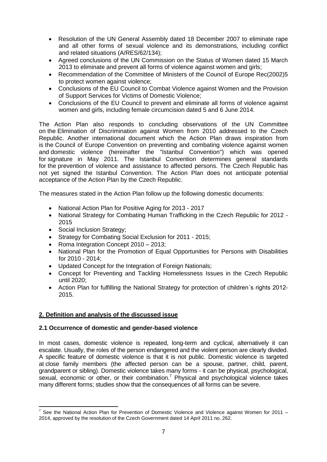- Resolution of the UN General Assembly dated 18 December 2007 to eliminate rape and all other forms of sexual violence and its demonstrations, including conflict and related situations (A/RES/62/134);
- Agreed conclusions of the UN Commission on the Status of Women dated 15 March 2013 to eliminate and prevent all forms of violence against women and girls;
- Recommendation of the Committee of Ministers of the Council of Europe Rec(2002)5 to protect women against violence;
- Conclusions of the EU Council to Combat Violence against Women and the Provision of Support Services for Victims of Domestic Violence;
- Conclusions of the EU Council to prevent and eliminate all forms of violence against women and girls, including female circumcision dated 5 and 6 June 2014.

The Action Plan also responds to concluding observations of the UN Committee on the Elimination of Discrimination against Women from 2010 addressed to the Czech Republic. Another international document which the Action Plan draws inspiration from is the Council of Europe Convention on preventing and combating violence against women and domestic violence (hereinafter the "Istanbul Convention") which was opened for signature in May 2011. The Istanbul Convention determines general standards for the prevention of violence and assistance to affected persons. The Czech Republic has not yet signed the Istanbul Convention. The Action Plan does not anticipate potential acceptance of the Action Plan by the Czech Republic.

The measures stated in the Action Plan follow up the following domestic documents:

- National Action Plan for Positive Aging for 2013 2017
- National Strategy for Combating Human Trafficking in the Czech Republic for 2012 -2015
- Social Inclusion Strategy;

 $\overline{a}$ 

- Strategy for Combating Social Exclusion for 2011 2015;
- Roma Integration Concept 2010 2013;
- National Plan for the Promotion of Equal Opportunities for Persons with Disabilities for 2010 - 2014;
- Updated Concept for the Integration of Foreign Nationals;
- Concept for Preventing and Tackling Homelessness Issues in the Czech Republic until 2020;
- Action Plan for fulfilling the National Strategy for protection of children's rights 2012-2015.

## <span id="page-6-0"></span>**2. Definition and analysis of the discussed issue**

## <span id="page-6-1"></span>**2.1 Occurrence of domestic and gender-based violence**

In most cases, domestic violence is repeated, long-term and cyclical, alternatively it can escalate. Usually, the roles of the person endangered and the violent person are clearly divided. A specific feature of domestic violence is that it is not public. Domestic violence is targeted at close family members (the affected person can be a spouse, partner, child, parent, grandparent or sibling). Domestic violence takes many forms - it can be physical, psychological, sexual, economic or other, or their combination.<sup>7</sup> Physical and psychological violence takes many different forms; studies show that the consequences of all forms can be severe.

 $^7$  See the National Action Plan for Prevention of Domestic Violence and Violence against Women for 2011 – 2014, approved by the resolution of the Czech Government dated 14 April 2011 no. 262.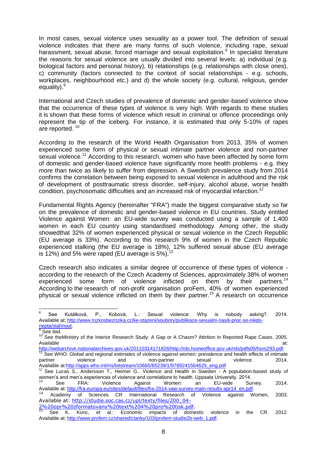In most cases, sexual violence uses sexuality as a power tool. The definition of sexual violence indicates that there are many forms of such violence, including rape, sexual harassment, sexual abuse, forced marriage and sexual exploitation.<sup>8</sup> In specialist literature the reasons for sexual violence are usually divided into several levels: a) individual (e.g. biological factors and personal history), b) relationships (e.g. relationships with close ones), c) community (factors connected to the context of social relationships - e.g. schools, workplaces, neighbourhood etc.) and d) the whole society (e.g. cultural, religious, gender equality).<sup>9</sup>

International and Czech studies of prevalence of domestic and gender-based violence show that the occurrence of these types of violence is very high. With regards to these studies it is shown that these forms of violence which result in criminal or offence proceedings only represent the tip of the iceberg. For instance, it is estimated that only 5-10% of rapes are reported. <sup>10</sup>

According to the research of the World Health Organisation from 2013, 35% of women experienced some form of physical or sexual intimate partner violence and non-partner sexual violence.<sup>11</sup> According to this research, women who have been affected by some form of domestic and gender-based violence have significantly more health problems - e.g. they more than twice as likely to suffer from depression. A Swedish prevalence study from 2014 confirms the correlation between being exposed to sexual violence in adulthood and the risk of development of posttraumatic stress disorder, self-injury, alcohol abuse, worse health condition, psychosomatic difficulties and an increased risk of myocardial infarction.<sup>12</sup>

Fundamental Rights Agency (hereinafter "FRA") made the biggest comparative study so far on the prevalence of domestic and gender-based violence in EU countries. Study entitled Violence against Women: an EU-wide survey was conducted using a sample of 1,400 women in each EU country using standardised methodology. Among other, the study showedthat 32% of women experienced physical or sexual violence in the Czech Republic (EU average is 33%). According to this research 9% of women in the Czech Republic experienced stalking (the EU average is 18%), 12% suffered sexual abuse (EU average is 12%) and 5% were raped (EU average is  $5\%$ ).

Czech research also indicates a similar degree of occurrence of these types of violence according to the research of the Czech Academy of Sciences, approximately 38% of women experienced some form of violence inflicted on them by their partners.<sup>14</sup> According to the research of non-profit organisation proFem, 40% of women experienced physical or sexual violence inflicted on them by their partner.<sup>15</sup> A research on occurrence

<sup>-&</sup>lt;br>8 See Kutálková, P., Kobová, L.: Sexual violence: Why is nobody asking?. 2014. Available at: [http://www.rozkosbezrizika.cz/ke-stazeni/soubory/publikace-sexualni-nasili-proc-se-nikdo](http://www.rozkosbezrizika.cz/ke-stazeni/soubory/publikace-sexualni-nasili-proc-se-nikdo-nepta/stahnout)[nepta/stahnout.](http://www.rozkosbezrizika.cz/ke-stazeni/soubory/publikace-sexualni-nasili-proc-se-nikdo-nepta/stahnout)

<sup>&</sup>lt;sup>9</sup> See ibid.

<sup>&</sup>lt;sup>10</sup> See theMinistry of the Interior Research Study: A Gap or A Chasm? Attrition in Reported Rape Cases. 2005. Available at: the contract of the contract of the contract of the contract of the contract of the contract of the contract of the contract of the contract of the contract of the contract of the contract of the contract of

[http://webarchive.nationalarchives.gov.uk/20110314171826/http://rds.homeoffice.gov.uk/rds/pdfs05/hors293.pdf.](http://webarchive.nationalarchives.gov.uk/20110314171826/http:/rds.homeoffice.gov.uk/rds/pdfs05/hors293.pdf)

See WHO: Global and regional estimates of violence against women: prevalence and health effects of intimate partner violence and non-partner sexual violence. 2014. Available at[:http://apps.who.int/iris/bitstream/10665/85239/1/9789241564625\\_eng.pdf](http://apps.who.int/iris/bitstream/10665/85239/1/9789241564625_eng.pdf)

<sup>12</sup> See Lucas S., Andersson T., Heimer G.. Violence and Health in Sweden - A population-based study of women's and men's experiences of violence and correlations to health. Uppsala University. 2014.

<sup>&</sup>lt;sup>13</sup> See FRA: Violence Against Women: an EU-wide Survey. 2014. Available at: [http://fra.europa.eu/sites/default/files/fra-2014-vaw-survey-main-results-apr14\\_en.pdf.](http://fra.europa.eu/sites/default/files/fra-2014-vaw-survey-main-results-apr14_en.pdf)

Academy of Sciences CR International Research of Violence against Women, 2003. Available at: [http://studie.soc.cas.cz/upl/texty/files/200\\_04-](http://studie.soc.cas.cz/upl/texty/files/200_04-2%20opr%20zformatovany%20text%204%20pro%20tisk.pdf)

<sup>2%20</sup>opr%20zformatovany%20text%204%20pro%20tisk.pdf

<sup>15</sup> See K. Kunc, et al.: Economic impacts of domestic violence in the CR. 2012. Available at: [http://www.profem.cz/shared/clanky/103/profem-studie2b-web\\_1.pdf.](http://www.profem.cz/shared/clanky/103/profem-studie2b-web_1.pdf)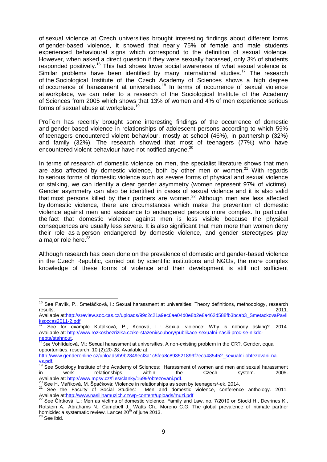of sexual violence at Czech universities brought interesting findings about different forms of gender-based violence, it showed that nearly 75% of female and male students experienced behavioural signs which correspond to the definition of sexual violence. However, when asked a direct question if they were sexually harassed, only 3% of students responded positively.<sup>16</sup> This fact shows lower social awareness of what sexual violence is. Similar problems have been identified by many international studies.<sup>17</sup> The research of the Sociological Institute of the Czech Academy of Sciences shows a high degree of occurrence of harassment at universities.<sup>18</sup> In terms of occurrence of sexual violence at workplace, we can refer to a research of the Sociological Institute of the Academy of Sciences from 2005 which shows that 13% of women and 4% of men experience serious forms of sexual abuse at workplace.<sup>19</sup>

ProFem has recently brought some interesting findings of the occurrence of domestic and gender-based violence in relationships of adolescent persons according to which 59% of teenagers encountered violent behaviour, mostly at school (46%), in partnership (32%) and family (32%). The research showed that most of teenagers (77%) who have encountered violent behaviour have not notified anyone.<sup>20</sup>

In terms of research of domestic violence on men, the specialist literature shows that men are also affected by domestic violence, both by other men or women.<sup>21</sup> With regards to serious forms of domestic violence such as severe forms of physical and sexual violence or stalking, we can identify a clear gender asymmetry (women represent 97% of victims). Gender asymmetry can also be identified in cases of sexual violence and it is also valid that most persons killed by their partners are women.<sup>22</sup> Although men are less affected by domestic violence, there are circumstances which make the prevention of domestic violence against men and assistance to endangered persons more complex. In particular the fact that domestic violence against men is less visible because the physical consequences are usually less severe. It is also significant that men more than women deny their role as a person endangered by domestic violence, and gender stereotypes play a major role here.<sup>23</sup>

Although research has been done on the prevalence of domestic and gender-based violence in the Czech Republic, carried out by scientific institutions and NGOs, the more complex knowledge of these forms of violence and their development is still not sufficient

 $\overline{\phantom{a}}$ 

<sup>&</sup>lt;sup>16</sup> See Pavlík, P., Smetáčková, I.: Sexual harassment at universities: Theory definitions, methodology, research results. 2011.

Available at[:http://sreview.soc.cas.cz/uploads/99c2c21a9ec6ae04d0e8b2e8a462d588fb3bcab3\\_SmetackovaPavli](http://sreview.soc.cas.cz/uploads/99c2c21a9ec6ae04d0e8b2e8a462d588fb3bcab3_SmetackovaPavliksoccas2011-2.pdf) [ksoccas2011-2.pdf](http://sreview.soc.cas.cz/uploads/99c2c21a9ec6ae04d0e8b2e8a462d588fb3bcab3_SmetackovaPavliksoccas2011-2.pdf)

See for example Kutálková, P., Kobová, L.: Sexual violence: Why is nobody asking?. 2014. Available at: [http://www.rozkosbezrizika.cz/ke-stazeni/soubory/publikace-sexualni-nasili-proc-se-nikdo](http://www.rozkosbezrizika.cz/ke-stazeni/soubory/publikace-sexualni-nasili-proc-se-nikdo-nepta/stahnout)[nepta/stahnout.](http://www.rozkosbezrizika.cz/ke-stazeni/soubory/publikace-sexualni-nasili-proc-se-nikdo-nepta/stahnout)

<sup>&</sup>lt;sup>18</sup> See Vohlídalová, M.: Sexual harassment at universities. A non-existing problem in the CR?. Gender, equal opportunities, research. 10 (2):20-28. Available at:

[http://www.genderonline.cz/uploads/b9b2849ecf3a1c5fea8c893521899f7eca485452\\_sexualni-obtezovani-na-](http://www.genderonline.cz/uploads/b9b2849ecf3a1c5fea8c893521899f7eca485452_sexualni-obtezovani-na-vs.pdf) $\underbrace{vs.pdf}_{19}$ 

See Sociology Institute of the Academy of Sciences: Harassment of women and men and sexual harassment in work relationships within the Czech system. 2005. Available at: [http://www.mpsv.cz/files/clanky/1699/obtezovani.pdf.](http://www.mpsv.cz/files/clanky/1699/obtezovani.pdf)

<sup>&</sup>lt;sup>20</sup> See H. Maříková, M. Špačková: Violence in relationships as seen by teenagers/-ek. 2014.

<sup>&</sup>lt;sup>21</sup> See the Faculty of Social Studies: Men and domestic violence, conference anthology. 2011. Available at[:http://www.nasilinamuzich.cz/wp-content/uploads/muzi.pdf](http://www.nasilinamuzich.cz/wp-content/uploads/muzi.pdf)

<sup>22</sup> See Čírtková, L.: Men as victims of domestic violence. Family and Law, no. 7/2010 or Stockl H., Devrines K., Rotstein A., Abrahams N., Campbell J., Watts Ch., Moreno C.G. The global prevalence of intimate partner homicide: a systematic review. Lancet 20<sup>th</sup> of june 2013.

 $^3$  See ibid.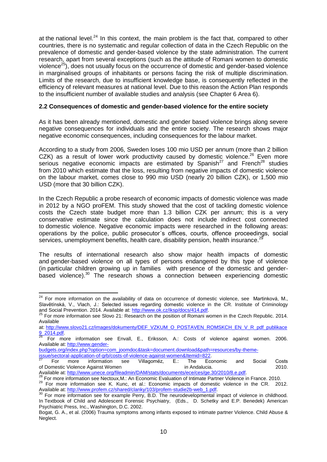at the national level.<sup>24</sup> In this context, the main problem is the fact that, compared to other countries, there is no systematic and regular collection of data in the Czech Republic on the prevalence of domestic and gender-based violence by the state administration. The current research, apart from several exceptions (such as the attitude of Romani women to domestic violence $^{25}$ ), does not usually focus on the occurrence of domestic and gender-based violence in marginalised groups of inhabitants or persons facing the risk of multiple discrimination. Limits of the research, due to insufficient knowledge base, is consequently reflected in the efficiency of relevant measures at national level. Due to this reason the Action Plan responds to the insufficient number of available studies and analysis (see Chapter 6 Area 6).

## <span id="page-9-0"></span>**2.2 Consequences of domestic and gender-based violence for the entire society**

As it has been already mentioned, domestic and gender based violence brings along severe negative consequences for individuals and the entire society. The research shows major negative economic consequences, including consequences for the labour market.

According to a study from 2006, Sweden loses 100 mio USD per annum (more than 2 billion CZK) as a result of lower work productivity caused by domestic violence.<sup>26</sup> Even more serious negative economic impacts are estimated by  $Spanish^{27}$  and French<sup>28</sup> studies from 2010 which estimate that the loss, resulting from negative impacts of domestic violence on the labour market, comes close to 990 mio USD (nearly 20 billion CZK), or 1,500 mio USD (more that 30 billion CZK).

In the Czech Republic a probe research of economic impacts of domestic violence was made in 2012 by a NGO proFEM. This study showed that the cost of tackling domestic violence costs the Czech state budget more than 1.3 billion CZK per annum; this is a very conservative estimate since the calculation does not include indirect cost connected to domestic violence. Negative economic impacts were researched in the following areas: operations by the police, public prosecutor´s offices, courts, offence proceedings, social services, unemployment benefits, health care, disability pension, health insurance.<sup>2</sup>

The results of international research also show major health impacts of domestic and gender-based violence on all types of persons endangered by this type of violence (in particular children growing up in families with presence of the domestic and genderbased violence).<sup>30</sup> The research shows a connection between experiencing domestic

 $\overline{\phantom{a}}$ 

<sup>&</sup>lt;sup>24</sup> For more information on the availability of data on occurrence of domestic violence, see Martinková, M., Slavětínská, V., Vlach, J.: Selected issues regarding domestic violence in the CR. Institute of Criminology and Social Prevention. 2014. Available at: [http://www.ok.cz/iksp/docs/414.pdf.](http://www.ok.cz/iksp/docs/414.pdf)

 $25$  For more information see Slovo 21: Research on the position of Romani women in the Czech Republic. 2014. Available

at: [http://www.slovo21.cz/images/dokumenty/DEF\\_VZKUM\\_O\\_POSTAVEN\\_ROMSKCH\\_EN\\_V\\_R\\_pdf\\_publikace](http://www.slovo21.cz/images/dokumenty/DEF_VZKUM_O_POSTAVEN_ROMSKCH_EN_V_R_pdf_publikace9_2014.pdf)  $\frac{9}{26}$   $\frac{2014. \text{pdf}}{5}$ 

<sup>26</sup> For more information see Envall, E., Eriksson, A.: Costs of violence against women. 2006. Available at: [http://www.gender-](http://www.gender-budgets.org/index.php?option=com_joomdoc&task=document.download&path=resources/by-theme-issue/sectoral-application-of-grb/costs-of-violence-against-women&Itemid=822)

[budgets.org/index.php?option=com\\_joomdoc&task=document.download&path=resources/by-theme](http://www.gender-budgets.org/index.php?option=com_joomdoc&task=document.download&path=resources/by-theme-issue/sectoral-application-of-grb/costs-of-violence-against-women&Itemid=822)[issue/sectoral-application-of-grb/costs-of-violence-against-women&Itemid=822.](http://www.gender-budgets.org/index.php?option=com_joomdoc&task=document.download&path=resources/by-theme-issue/sectoral-application-of-grb/costs-of-violence-against-women&Itemid=822)

 $27$  For more information see Villagoméz, E.: The Economic and Social Costs of Domestic Violence Against Women in Andalucia. 2010.

Available at: [http://www.unece.org/fileadmin/DAM/stats/documents/ece/ces/ge.30/2010/8.e.pdf.](http://www.unece.org/fileadmin/DAM/stats/documents/ece/ces/ge.30/2010/8.e.pdf) <sup>28</sup> For more information see Nectoux,M.: An Economic Evaluation of Intimate Partner Violence in France. 2010.

<sup>&</sup>lt;sup>29</sup> For more information see K. Kunc, et al.: Economic impacts of domestic violence in the CR. 2012. Available at: [http://www.profem.cz/shared/clanky/103/profem-studie2b-web\\_1.pdf.](http://www.profem.cz/shared/clanky/103/profem-studie2b-web_1.pdf)

<sup>30</sup> For more information see for example Perry, B.D. The neurodevelopmental impact of violence in childhood. In Textbook of Child and Adolescent Forensic Psychiatry, (Eds., D. Schetky and E.P. Benedek) American Psychiatric Press, Inc., Washington, D.C. 2002.

Bogat, G. A., et al. (2006) Trauma symptoms among infants exposed to intimate partner Violence. Child Abuse & Neglect.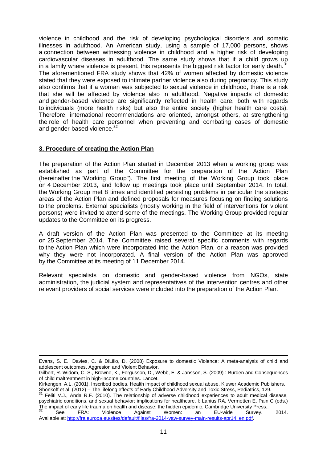violence in childhood and the risk of developing psychological disorders and somatic illnesses in adulthood. An American study, using a sample of 17,000 persons, shows a connection between witnessing violence in childhood and a higher risk of developing cardiovascular diseases in adulthood. The same study shows that if a child grows up in a family where violence is present, this represents the biggest risk factor for early death. $31$ The aforementioned FRA study shows that 42% of women affected by domestic violence stated that they were exposed to intimate partner violence also during pregnancy. This study also confirms that if a woman was subjected to sexual violence in childhood, there is a risk that she will be affected by violence also in adulthood. Negative impacts of domestic and gender-based violence are significantly reflected in health care, both with regards to individuals (more health risks) but also the entire society (higher health care costs). Therefore, international recommendations are oriented, amongst others, at strengthening the role of health care personnel when preventing and combating cases of domestic and gender-based violence.<sup>32</sup>

## <span id="page-10-0"></span>**3. Procedure of creating the Action Plan**

 $\overline{\phantom{a}}$ 

The preparation of the Action Plan started in December 2013 when a working group was established as part of the Committee for the preparation of the Action Plan (hereinafter the "Working Group"). The first meeting of the Working Group took place on 4 December 2013, and follow up meetings took place until September 2014. In total, the Working Group met 8 times and identified persisting problems in particular the strategic areas of the Action Plan and defined proposals for measures focusing on finding solutions to the problems. External specialists (mostly working in the field of interventions for violent persons) were invited to attend some of the meetings. The Working Group provided regular updates to the Committee on its progress.

A draft version of the Action Plan was presented to the Committee at its meeting on 25 September 2014. The Committee raised several specific comments with regards to the Action Plan which were incorporated into the Action Plan, or a reason was provided why they were not incorporated. A final version of the Action Plan was approved by the Committee at its meeting of 11 December 2014.

Relevant specialists on domestic and gender-based violence from NGOs, state administration, the judicial system and representatives of the intervention centres and other relevant providers of social services were included into the preparation of the Action Plan.

Evans, S. E., Davies, C. & DiLillo, D. (2008) Exposure to domestic Violence: A meta-analysis of child and adolescent outcomes, Aggresion and Violent Behavior.

Gilbert, R. Widom, C. S., Browne, K., Fergusson, D., Webb, E. & Jansson, S. (2009) : Burden and Consequences of child maltreatment in high-income countries. Lancet.

Kirkengen, A.L. (2001). Inscribed bodies. Health impact of childhood sexual abuse. Kluwer Academic Publishers. Shonkoff et al, (2012) – The lifelong effects of Early Childhood Adversity and Toxic Stress, Pediatrics, 129.

Feliti V.J., Anda R.F. (2010). The relationship of adverse childhood experiences to adult medical disease, psychiatric conditions, and sexual behavior: implications for healthcare. I: Lanius RA, Vermetten E, Pain C (eds.) The impact of early life trauma on health and disease: the hidden epidemic. Cambridge University Press..

 $32$  See FRA: Violence Against Women: an EU-wide Survey. 2014. Available at: [http://fra.europa.eu/sites/default/files/fra-2014-vaw-survey-main-results-apr14\\_en.pdf.](http://fra.europa.eu/sites/default/files/fra-2014-vaw-survey-main-results-apr14_en.pdf)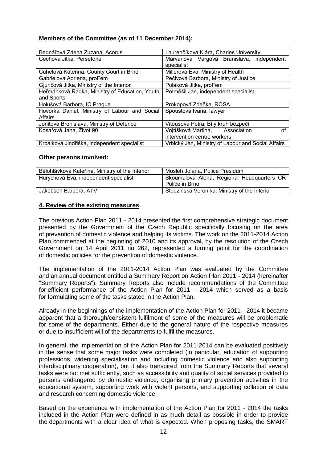## **Members of the Committee (as of 11 December 2014):**

| Bednářová Zdena Zuzana, Acorus                 | Laurenčíková Klára, Charles University             |  |
|------------------------------------------------|----------------------------------------------------|--|
| Čechová Jitka, Persefona                       | Marvanová Vargová Branislava, independent          |  |
|                                                | specialist                                         |  |
| Čuhelová Kateřina, County Court in Brno        | Millerová Eva, Ministry of Health                  |  |
| Gabrielová Adriena, proFem                     | Pečivová Barbora, Ministry of Justice              |  |
| Gjuričová Jitka, Ministry of the Interior      | Poláková Jitka, proFem                             |  |
| Heřmánková Radka, Ministry of Education, Youth | Potměšil Jan, independent specialist               |  |
| and Sports                                     |                                                    |  |
| Holušová Barbora, IC Prague                    | Prokopová Zdeňka, ROSA                             |  |
| Hovorka Daniel, Ministry of Labour and Social  | Spoustová Ivana, lawyer                            |  |
| Affairs                                        |                                                    |  |
| Jonitová Bronislava, Ministry of Defence       | Vitoušová Petra, Bílý kruh bezpečí                 |  |
| Kosařová Jana, Život 90                        | Vojtíšková Martina, Association<br>Ωf              |  |
|                                                | intervention centre workers                        |  |
| Krpálková Jindřiška, independent specialist    | Vrbický Jan, Ministry of Labour and Social Affairs |  |

#### **Other persons involved:**

| Bělohlávková Kateřina, Ministry of the Interior | Mosleh Jolana, Police Presidum                |  |
|-------------------------------------------------|-----------------------------------------------|--|
| Hurychová Eva, independent specialist           | Skoumalová Alena, Regional Headquarters CR    |  |
|                                                 | Police in Brno                                |  |
| Jakobsen Barbora, ATV                           | Studzinská Veronika, Ministry of the Interior |  |

## <span id="page-11-0"></span>**4. Review of the existing measures**

The previous Action Plan 2011 - 2014 presented the first comprehensive strategic document presented by the Government of the Czech Republic specifically focusing on the area of prevention of domestic violence and helping its victims. The work on the 2011-2014 Action Plan commenced at the beginning of 2010 and its approval, by the resolution of the Czech Government on 14 April 2011 no 262, represented a turning point for the coordination of domestic policies for the prevention of domestic violence.

The implementation of the 2011-2014 Action Plan was evaluated by the Committee and an annual document entitled a Summary Report on Action Plan 2011 - 2014 (hereinafter "Summary Reports"). Summary Reports also include recommendations of the Committee for efficient performance of the Action Plan for 2011 - 2014 which served as a basis for formulating some of the tasks stated in the Action Plan.

Already in the beginnings of the implementation of the Action Plan for 2011 - 2014 it became apparent that a thorough/consistent fulfilment of some of the measures will be problematic for some of the departments. Either due to the general nature of the respective measures or due to insufficient will of the departments to fulfil the measures.

In general, the implementation of the Action Plan for 2011-2014 can be evaluated positively in the sense that some major tasks were completed (in particular, education of supporting professions, widening specialisation and including domestic violence and also supporting interdisciplinary cooperation), but it also transpired from the Summary Reports that several tasks were not met sufficiently, such as accessibility and quality of social services provided to persons endangered by domestic violence, organising primary prevention activities in the educational system, supporting work with violent persons, and supporting collation of data and research concerning domestic violence.

Based on the experience with implementation of the Action Plan for 2011 - 2014 the tasks included in the Action Plan were defined in as much detail as possible in order to provide the departments with a clear idea of what is expected. When proposing tasks, the SMART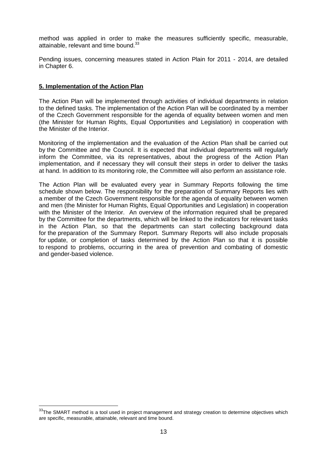method was applied in order to make the measures sufficiently specific, measurable, attainable, relevant and time bound.<sup>33</sup>

Pending issues, concerning measures stated in Action Plain for 2011 - 2014, are detailed in Chapter 6.

## <span id="page-12-0"></span>**5. Implementation of the Action Plan**

 $\overline{\phantom{a}}$ 

The Action Plan will be implemented through activities of individual departments in relation to the defined tasks. The implementation of the Action Plan will be coordinated by a member of the Czech Government responsible for the agenda of equality between women and men (the Minister for Human Rights, Equal Opportunities and Legislation) in cooperation with the Minister of the Interior.

Monitoring of the implementation and the evaluation of the Action Plan shall be carried out by the Committee and the Council. It is expected that individual departments will regularly inform the Committee, via its representatives, about the progress of the Action Plan implementation, and if necessary they will consult their steps in order to deliver the tasks at hand. In addition to its monitoring role, the Committee will also perform an assistance role.

The Action Plan will be evaluated every year in Summary Reports following the time schedule shown below. The responsibility for the preparation of Summary Reports lies with a member of the Czech Government responsible for the agenda of equality between women and men (the Minister for Human Rights, Equal Opportunities and Legislation) in cooperation with the Minister of the Interior. An overview of the information required shall be prepared by the Committee for the departments, which will be linked to the indicators for relevant tasks in the Action Plan, so that the departments can start collecting background data for the preparation of the Summary Report. Summary Reports will also include proposals for update, or completion of tasks determined by the Action Plan so that it is possible to respond to problems, occurring in the area of prevention and combating of domestic and gender-based violence.

 $33$ The SMART method is a tool used in project management and strategy creation to determine objectives which are specific, measurable, attainable, relevant and time bound.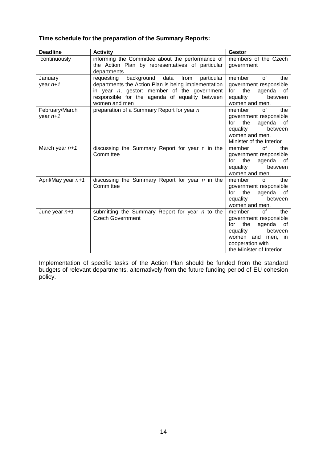## **Time schedule for the preparation of the Summary Reports:**

| <b>Deadline</b>      | <b>Activity</b>                                        | <b>Gestor</b>                        |
|----------------------|--------------------------------------------------------|--------------------------------------|
| continuously         | informing the Committee about the performance of       | members of the Czech                 |
|                      | the Action Plan by representatives of particular       | government                           |
|                      | departments                                            |                                      |
| January              | background<br>data<br>from<br>particular<br>requesting | member<br>0f<br>the                  |
| year $n+1$           | departments the Action Plan is being implementation    | government responsible               |
|                      | in year $n$ , gestor: member of the government         | for<br>the<br>agenda<br>of           |
|                      | responsible for the agenda of equality between         | equality<br>between                  |
|                      | women and men                                          | women and men,                       |
| February/March       | preparation of a Summary Report for year n             | 0f<br>member<br>the                  |
| year $n+1$           |                                                        | government responsible<br>for<br>the |
|                      |                                                        | agenda<br>of<br>equality<br>between  |
|                      |                                                        | women and men,                       |
|                      |                                                        | Minister of the Interior             |
| March year $n+1$     | discussing the Summary Report for year n in the        | of<br>member<br>the                  |
|                      | Committee                                              | government responsible               |
|                      |                                                        | agenda<br>for<br>the<br>of           |
|                      |                                                        | between<br>equality                  |
|                      |                                                        | women and men,                       |
| April/May year $n+1$ | discussing the Summary Report for year n in the        | of<br>member<br>the                  |
|                      | Committee                                              | government responsible               |
|                      |                                                        | the<br>for<br>agenda<br>of           |
|                      |                                                        | equality<br>between                  |
|                      |                                                        | women and men,                       |
| June year $n+1$      | submitting the Summary Report for year n to the        | of<br>member<br>the                  |
|                      | <b>Czech Government</b>                                | government responsible               |
|                      |                                                        | for<br>the<br>agenda<br>0f           |
|                      |                                                        | between<br>equality                  |
|                      |                                                        | women and men, in                    |
|                      |                                                        | cooperation with                     |
|                      |                                                        | the Minister of Interior             |

Implementation of specific tasks of the Action Plan should be funded from the standard budgets of relevant departments, alternatively from the future funding period of EU cohesion policy.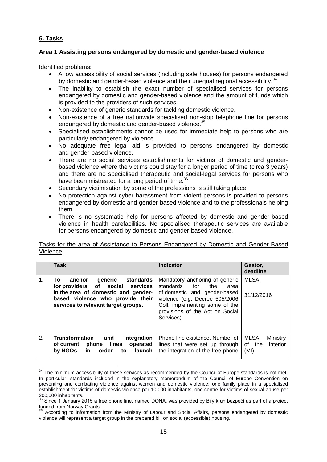## <span id="page-14-0"></span>**6. Tasks**

 $\overline{\phantom{a}}$ 

## <span id="page-14-1"></span>**Area 1 Assisting persons endangered by domestic and gender-based violence**

Identified problems:

- A low accessibility of social services (including safe houses) for persons endangered by domestic and gender-based violence and their unequal regional accessibility.<sup>3</sup>
- The inability to establish the exact number of specialised services for persons endangered by domestic and gender-based violence and the amount of funds which is provided to the providers of such services.
- Non-existence of generic standards for tackling domestic violence.
- Non-existence of a free nationwide specialised non-stop telephone line for persons endangered by domestic and gender-based violence.<sup>35</sup>
- Specialised establishments cannot be used for immediate help to persons who are particularly endangered by violence.
- No adequate free legal aid is provided to persons endangered by domestic and gender-based violence.
- There are no social services establishments for victims of domestic and genderbased violence where the victims could stay for a longer period of time (circa 3 years) and there are no specialised therapeutic and social-legal services for persons who have been mistreated for a long period of time.<sup>36</sup>
- Secondary victimisation by some of the professions is still taking place.
- No protection against cyber harassment from violent persons is provided to persons endangered by domestic and gender-based violence and to the professionals helping them.
- There is no systematic help for persons affected by domestic and gender-based violence in health carefacilities. No specialised therapeutic services are available for persons endangered by domestic and gender-based violence.

#### Tasks for the area of Assistance to Persons Endangered by Domestic and Gender-Based Violence

|    | <b>Task</b>                                                                                                                 | <b>Indicator</b>                                                                                                                                  | Gestor,<br>deadline                             |
|----|-----------------------------------------------------------------------------------------------------------------------------|---------------------------------------------------------------------------------------------------------------------------------------------------|-------------------------------------------------|
| 1. | anchor<br>generic<br>standards<br>To:<br>for providers of social services                                                   | Mandatory anchoring of generic<br>the<br>for<br>standards<br>area                                                                                 | <b>MLSA</b>                                     |
|    | in the area of domestic and gender-<br>based violence who provide their<br>services to relevant target groups.              | of domestic and gender-based<br>violence (e.g. Decree 505/2006<br>Coll. implementing some of the<br>provisions of the Act on Social<br>Services). | 31/12/2016                                      |
| 2. | Transformation<br>and<br>integration<br>lines<br>operated<br>phone<br>of current<br>by NGOs<br>launch<br>order<br>in.<br>to | Phone line existence. Number of<br>lines that were set up through<br>the integration of the free phone                                            | MLSA,<br>Ministry<br>Interior<br>of the<br>(MI) |

 $34$  The minimum accessibility of these services as recommended by the Council of Europe standards is not met. In particular, standards included in the explanatory memorandum of the Council of Europe Convention on preventing and combating violence against women and domestic violence: one family place in a specialised establishment for victims of domestic violence per 10,000 inhabitants, one centre for victims of sexual abuse per 200,000 inhabitants.

 $35$  Since 1 January 2015 a free phone line, named DONA, was provided by Bilý kruh bezpečí as part of a project funded from Norway Grants.

<sup>&</sup>lt;sup>36</sup> According to information from the Ministry of Labour and Social Affairs, persons endangered by domestic violence will represent a target group in the prepared bill on social (accessible) housing.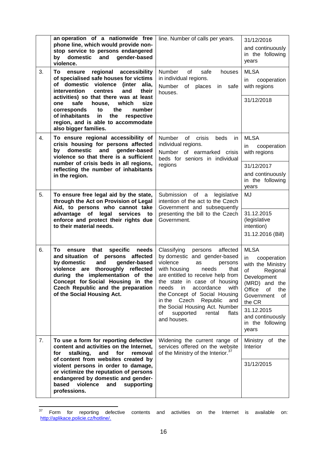|    | an operation of a nationwide free<br>phone line, which would provide non-<br>stop service to persons endangered<br>gender-based<br>domestic<br>and<br>by<br>violence.                                                                                                                                                                                                                                           | line. Number of calls per years.                                                                                                                                                                                                                                                                                                                     | 31/12/2016<br>and continuously<br>in the following<br>years                                                                                                  |
|----|-----------------------------------------------------------------------------------------------------------------------------------------------------------------------------------------------------------------------------------------------------------------------------------------------------------------------------------------------------------------------------------------------------------------|------------------------------------------------------------------------------------------------------------------------------------------------------------------------------------------------------------------------------------------------------------------------------------------------------------------------------------------------------|--------------------------------------------------------------------------------------------------------------------------------------------------------------|
| 3. | regional accessibility<br>To<br>ensure<br>of specialised safe houses for victims<br>domestic violence<br>of<br>(inter<br>alia,<br>intervention<br>and<br>centres<br>their<br>activities) so that there was at least<br>safe<br>house,<br>which<br>size<br>one<br>corresponds<br>to<br>the<br>number<br>of inhabitants<br>the<br>in<br>respective<br>region, and is able to accommodate<br>also bigger families. | <b>Number</b><br>0f<br>safe<br>houses<br>in individual regions.<br>Number<br>places<br>of<br>safe<br>in<br>houses.                                                                                                                                                                                                                                   | <b>MLSA</b><br>cooperation<br>in.<br>with regions<br>31/12/2018                                                                                              |
| 4. | To ensure regional accessibility of<br>crisis housing for persons affected<br>domestic<br>and<br>gender-based<br>by<br>violence so that there is a sufficient<br>number of crisis beds in all regions,<br>reflecting the number of inhabitants                                                                                                                                                                  | Number of<br>crisis<br>beds<br>in.<br>individual regions.<br>Number of earmarked crisis<br>beds for seniors in individual<br>regions                                                                                                                                                                                                                 | <b>MLSA</b><br>cooperation<br>in.<br>with regions<br>31/12/2017                                                                                              |
| 5. | in the region.<br>To ensure free legal aid by the state,                                                                                                                                                                                                                                                                                                                                                        | of<br>Submission<br>a<br>legislative                                                                                                                                                                                                                                                                                                                 | and continuously<br>in the following<br>years<br>MJ                                                                                                          |
|    | through the Act on Provision of Legal<br>Aid, to persons who cannot take<br>advantage of legal<br>services<br>to<br>enforce and protect their rights due<br>to their material needs.                                                                                                                                                                                                                            | intention of the act to the Czech<br>Government and subsequently<br>presenting the bill to the Czech<br>Government.                                                                                                                                                                                                                                  | 31.12.2015<br>(legislative<br>intention)<br>31.12.2016 (Bill)                                                                                                |
| 6. | specific<br>needs<br>To.<br>that<br>ensure<br>and situation of persons affected<br>by domestic<br>and<br>gender-based<br>violence are<br>thoroughly reflected<br>during the implementation of the<br>Concept for Social Housing in the<br>Czech Republic and the preparation<br>of the Social Housing Act.                                                                                                      | Classifying<br>affected<br>persons<br>by domestic and gender-based<br>violence<br>as<br>persons<br>with housing<br>needs<br>that<br>are entitled to receive help from<br>the state in case of housing<br>accordance<br>with<br>needs<br>in.<br>the Concept of Social Housing<br>Czech<br>Republic<br>in the<br>and<br>the Social Housing Act. Number | <b>MLSA</b><br>cooperation<br>in<br>with the Ministry<br>of<br>Regional<br>Development<br>(MRD) and the<br>Office<br>οf<br>the<br>Government<br>οf<br>the CR |
|    |                                                                                                                                                                                                                                                                                                                                                                                                                 | flats<br>of<br>supported<br>rental<br>and houses.                                                                                                                                                                                                                                                                                                    | 31.12.2015<br>and continuously<br>in the following<br>years                                                                                                  |
| 7. | To use a form for reporting defective<br>content and activities on the Internet,<br>stalking,<br>for<br>and<br>for<br>removal<br>of content from websites created by                                                                                                                                                                                                                                            | Widening the current range of<br>services offered on the website<br>of the Ministry of the Interior. <sup>37</sup>                                                                                                                                                                                                                                   | Ministry of the<br>Interior                                                                                                                                  |
|    | violent persons in order to damage,<br>or victimize the reputation of persons<br>endangered by domestic and gender-<br>based violence<br>and<br>supporting<br>professions.                                                                                                                                                                                                                                      |                                                                                                                                                                                                                                                                                                                                                      | 31/12/2015                                                                                                                                                   |

 $37$  Form for reporting defective contents and activities on the Internet is available on: [http://aplikace.policie.cz/hotline/.](http://aplikace.policie.cz/hotline/)

 $\overline{a}$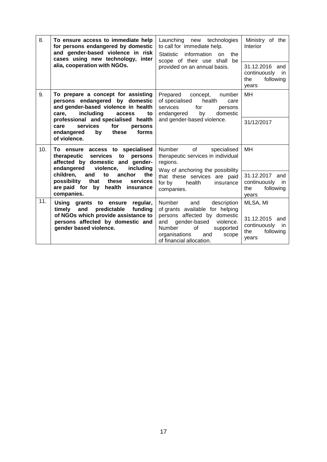<span id="page-16-0"></span>

| 8.  | To ensure access to immediate help<br>for persons endangered by domestic<br>and gender-based violence in risk<br>cases using new technology, inter<br>alia, cooperation with NGOs. | Launching new technologies<br>to call for immediate help.<br><b>Statistic</b><br>information<br>the<br>on<br>scope of their use shall<br>be<br>provided on an annual basis. | Ministry of the<br>Interior<br>31.12.2016 and<br>continuously<br>in<br>following<br>the<br>years |
|-----|------------------------------------------------------------------------------------------------------------------------------------------------------------------------------------|-----------------------------------------------------------------------------------------------------------------------------------------------------------------------------|--------------------------------------------------------------------------------------------------|
| 9.  | To prepare a concept for assisting<br>persons endangered by domestic<br>and gender-based violence in health<br>including<br>care,<br>to<br>access                                  | Prepared<br>concept,<br>number<br>of specialised<br>health<br>care<br>for<br>services<br>persons<br>endangered<br>domestic<br>by                                            | MH                                                                                               |
|     | professional and specialised health<br>and gender-based violence.<br>services<br>for<br>care<br>persons<br>forms<br>endangered<br>these<br>by<br>of violence.                      |                                                                                                                                                                             | 31/12/2017                                                                                       |
| 10. | To ensure access to specialised<br>services<br>to<br>therapeutic<br>persons<br>affected by domestic and gender-<br>endangered<br>violence,<br>including                            | Number<br>of<br>specialised<br>therapeutic services in individual<br>regions.<br>Way of anchoring the possibility                                                           | MН                                                                                               |
|     | children.<br>anchor<br>the<br>and<br>to<br>that<br>these<br>possibility<br>services<br>are paid for<br>by<br>health insurance<br>companies.                                        | that these services are paid<br>for by<br>health<br>insurance<br>companies.                                                                                                 | 31.12.2017 and<br>continuously<br>in in<br>following<br>the<br>years                             |
| 11. | Using grants to ensure<br>regular,<br>predictable<br>funding<br>timely<br>and                                                                                                      | Number<br>description<br>and<br>of grants available for helping                                                                                                             | MLSA, MI                                                                                         |
|     | of NGOs which provide assistance to<br>persons affected by domestic and<br>gender based violence.                                                                                  | persons affected by domestic<br>gender-based<br>and<br>violence.<br>Number<br>of<br>supported<br>organisations<br>and<br>scope<br>of financial allocation.                  | 31.12.2015 and<br>continuously<br><i>in</i><br>the<br>following<br>years                         |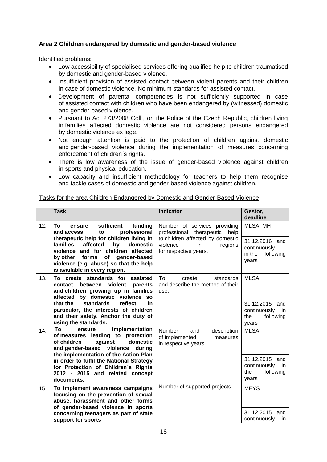## **Area 2 Children endangered by domestic and gender-based violence**

Identified problems:

- Low accessibility of specialised services offering qualified help to children traumatised by domestic and gender-based violence.
- Insufficient provision of assisted contact between violent parents and their children in case of domestic violence. No minimum standards for assisted contact.
- Development of parental competencies is not sufficiently supported in case of assisted contact with children who have been endangered by (witnessed) domestic and gender-based violence.
- Pursuant to Act 273/2008 Coll., on the Police of the Czech Republic, children living in families affected domestic violence are not considered persons endangered by domestic violence ex lege.
- Not enough attention is paid to the protection of children against domestic and gender-based violence during the implementation of measures concerning enforcement of children´s rights.
- There is low awareness of the issue of gender-based violence against children in sports and physical education.
- Low capacity and insufficient methodology for teachers to help them recognise and tackle cases of domestic and gender-based violence against children.

## Tasks for the area Children Endangered by Domestic and Gender-Based Violence

|     | <b>Task</b>                                                                                                                                                                                                                                    | <b>Indicator</b>                                                                          | Gestor,<br>deadline                                                |
|-----|------------------------------------------------------------------------------------------------------------------------------------------------------------------------------------------------------------------------------------------------|-------------------------------------------------------------------------------------------|--------------------------------------------------------------------|
| 12. | sufficient<br>funding<br>To<br>ensure<br>professional<br>and access<br>to                                                                                                                                                                      | Number of services providing<br>professional<br>therapeutic<br>help                       | MLSA, MH                                                           |
|     | therapeutic help for children living in<br>affected<br>by<br>domestic<br><b>families</b><br>violence and for children affected<br>of gender-based<br>by other forms<br>violence (e.g. abuse) so that the help<br>is available in every region. | to children affected by domestic<br>violence<br>in<br>regions<br>for respective years.    | 31.12.2016 and<br>continuously<br>in the<br>following<br>years     |
| 13. | To create standards for assisted<br>between violent<br>contact<br>parents<br>and children growing up in families<br>affected by domestic violence so                                                                                           | Τo<br>standards<br>create<br>and describe the method of their<br>use.                     | <b>MLSA</b>                                                        |
|     | standards<br>reflect.<br>that the<br>in<br>particular, the interests of children<br>and their safety. Anchor the duty of<br>using the standards.                                                                                               |                                                                                           | 31.12.2015 and<br>continuously<br>in<br>following<br>the<br>years  |
| 14. | implementation<br>Tο<br>ensure<br>of measures leading to protection<br>of children<br>against<br>domestic<br>and gender-based violence during                                                                                                  | <b>Number</b><br>and<br>description<br>of implemented<br>measures<br>in respective years. | <b>MLSA</b>                                                        |
|     | the implementation of the Action Plan<br>in order to fulfil the National Strategy<br>for Protection of Children's Rights<br>2012 - 2015 and related concept<br>documents.                                                                      |                                                                                           | 31.12.2015 and<br>continuously<br>in.<br>the<br>following<br>years |
| 15. | To implement awareness campaigns<br>focusing on the prevention of sexual<br>abuse, harassment and other forms                                                                                                                                  | Number of supported projects.                                                             | <b>MEYS</b>                                                        |
|     | of gender-based violence in sports<br>concerning teenagers as part of state<br>support for sports                                                                                                                                              |                                                                                           | 31.12.2015<br>and<br>continuously<br>in.                           |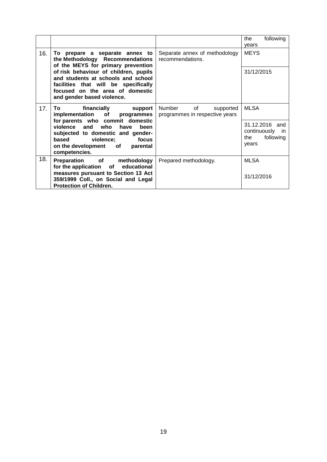<span id="page-18-0"></span>

|     |                                                                                                                                                                                                                                                                                          |                                                             | the<br>following<br>years                                      |
|-----|------------------------------------------------------------------------------------------------------------------------------------------------------------------------------------------------------------------------------------------------------------------------------------------|-------------------------------------------------------------|----------------------------------------------------------------|
| 16. | To prepare a separate annex to<br>the Methodology Recommendations<br>of the MEYS for primary prevention                                                                                                                                                                                  | Separate annex of methodology<br>recommendations.           | <b>MEYS</b>                                                    |
|     | of risk behaviour of children, pupils<br>and students at schools and school<br>facilities that will be specifically<br>focused on the area of domestic<br>and gender based violence.                                                                                                     |                                                             | 31/12/2015                                                     |
| 17. | financially support<br>To the contract of the contract of the contract of the contract of the contract of the contract of the contract of the contract of the contract of the contract of the contract of the contract of the contract of the contrac<br>implementation of<br>programmes | Number<br>of<br>supported<br>programmes in respective years | <b>MLSA</b>                                                    |
|     | for parents who commit domestic<br>violence and who have<br>been<br>subjected to domestic and gender-<br>based violence;<br>focus<br>on the development of parental<br>competencies.                                                                                                     |                                                             | 31.12.2016 and<br>continuously in<br>following<br>the<br>years |
| 18. | <b>Preparation</b> of<br>methodology<br>for the application of educational<br>measures pursuant to Section 13 Act                                                                                                                                                                        | Prepared methodology.                                       | <b>MLSA</b><br>31/12/2016                                      |
|     | 359/1999 Coll., on Social and Legal<br><b>Protection of Children.</b>                                                                                                                                                                                                                    |                                                             |                                                                |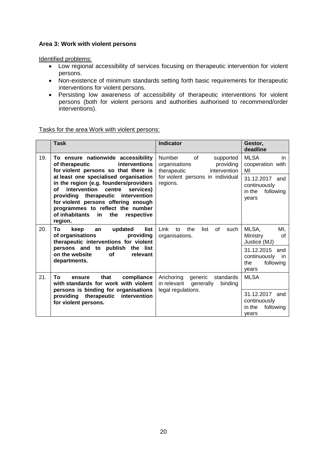## **Area 3: Work with violent persons**

Identified problems:

- Low regional accessibility of services focusing on therapeutic intervention for violent persons.
- Non-existence of minimum standards setting forth basic requirements for therapeutic interventions for violent persons.
- Persisting low awareness of accessibility of therapeutic interventions for violent persons (both for violent persons and authorities authorised to recommend/order interventions).

## Tasks for the area Work with violent persons:

<span id="page-19-0"></span>

|     | <b>Task</b>                                                                                                                                                                                                                                                                                                     | <b>Indicator</b>                                                                              | Gestor,<br>deadline                                                   |
|-----|-----------------------------------------------------------------------------------------------------------------------------------------------------------------------------------------------------------------------------------------------------------------------------------------------------------------|-----------------------------------------------------------------------------------------------|-----------------------------------------------------------------------|
| 19. | To ensure nationwide accessibility<br>interventions<br>of therapeutic<br>for violent persons so that there is                                                                                                                                                                                                   | <b>Number</b><br>0f<br>supported<br>organisations<br>providing<br>intervention<br>therapeutic | <b>MLSA</b><br>in.<br>cooperation with<br>MI                          |
|     | at least one specialised organisation<br>in the region (e.g. founders/providers<br>intervention<br>centre<br>services)<br>οf<br>providing therapeutic<br>intervention<br>for violent persons offering enough<br>programmes to reflect the number<br>of inhabitants<br>the<br>respective<br><u>in</u><br>region. | for violent persons in individual<br>regions.                                                 | 31.12.2017 and<br>continuously<br>in the<br>following<br>vears        |
| 20. | list<br>updated<br>To<br>keep<br>an<br>of organisations<br>providing<br>therapeutic interventions for violent<br>publish<br>persons and to<br>the list<br>on the website<br><b>of</b><br>relevant<br>departments.                                                                                               | Link<br>the<br>list<br>of<br>to<br>such<br>organisations.                                     | MLSA,<br>MI,<br><b>Ministry</b><br>0f<br>Justice (MJ)                 |
|     |                                                                                                                                                                                                                                                                                                                 |                                                                                               | 31.12.2015<br>and<br>continuously<br>in.<br>following<br>the<br>vears |
| 21. | Τo<br>that<br>compliance<br>ensure<br>with standards for work with violent                                                                                                                                                                                                                                      | Anchoring<br>generic<br>standards<br>in relevant<br>generally<br>bindina                      | <b>MLSA</b>                                                           |
|     | persons is binding for organisations<br>providing therapeutic<br>intervention<br>for violent persons.                                                                                                                                                                                                           | legal regulations.                                                                            | 31.12.2017 and<br>continuously<br>in the<br>following<br>vears        |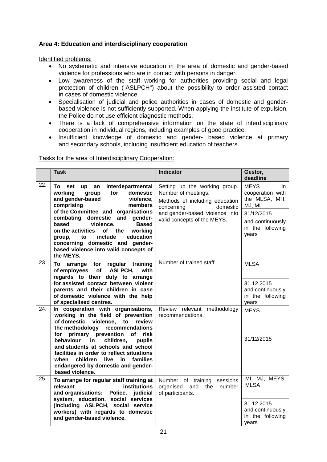## **Area 4: Education and interdisciplinary cooperation**

Identified problems:

- No systematic and intensive education in the area of domestic and gender-based violence for professions who are in contact with persons in danger.
- Low awareness of the staff working for authorities providing social and legal protection of children ("ASLPCH") about the possibility to order assisted contact in cases of domestic violence.
- Specialisation of judicial and police authorities in cases of domestic and genderbased violence is not sufficiently supported. When applying the institute of expulsion, the Police do not use efficient diagnostic methods.
- There is a lack of comprehensive information on the state of interdisciplinary cooperation in individual regions, including examples of good practice.
- Insufficient knowledge of domestic and gender- based violence at primary and secondary schools, including insufficient education of teachers.

|                   | <b>Task</b>                                                                                                                                                                                                                                                                                                                                                                                                                          | <b>Indicator</b>                                                                                                 | Gestor,<br>deadline                                               |
|-------------------|--------------------------------------------------------------------------------------------------------------------------------------------------------------------------------------------------------------------------------------------------------------------------------------------------------------------------------------------------------------------------------------------------------------------------------------|------------------------------------------------------------------------------------------------------------------|-------------------------------------------------------------------|
| $\overline{22}$ . | interdepartmental<br>To<br>set<br>up<br>an<br>for<br>domestic<br>workina<br>group<br>and gender-based<br>violence,<br>comprising<br>members<br>of the Committee and organisations<br>combating domestic and gender-<br><b>Based</b><br>based<br>violence.<br>of the<br>working<br>on the activities<br>include<br>education<br>to<br>group.<br>concerning domestic and gender-<br>based violence into valid concepts of<br>the MEYS. | Setting up the working group.<br>Number of meetings.<br>Methods of including education<br>concerning<br>domestic | <b>MEYS</b><br>in.<br>cooperation with<br>the MLSA, MH,<br>MJ, MI |
|                   |                                                                                                                                                                                                                                                                                                                                                                                                                                      | and gender-based violence into                                                                                   | 31/12/2015                                                        |
|                   |                                                                                                                                                                                                                                                                                                                                                                                                                                      | valid concepts of the MEYS.                                                                                      | and continuously<br>in the following<br>years                     |
| 23.               | arrange for regular training<br>To<br><b>ASLPCH,</b><br>of employees of<br>with                                                                                                                                                                                                                                                                                                                                                      | Number of trained staff.                                                                                         | <b>MLSA</b>                                                       |
|                   | regards to their duty to arrange<br>for assisted contact between violent<br>parents and their children in case<br>of domestic violence with the help<br>of specialised centres.                                                                                                                                                                                                                                                      |                                                                                                                  | 31.12.2015<br>and continuously<br>in the following<br>years       |
| 24.               | In cooperation with organisations,<br>working in the field of prevention<br>of domestic violence, to<br>review<br>the methodology recommendations<br>primary prevention of risk<br>for                                                                                                                                                                                                                                               | Review relevant methodology<br>recommendations.                                                                  | <b>MEYS</b>                                                       |
|                   | in<br>behaviour<br>children,<br>pupils<br>and students at schools and school<br>facilities in order to reflect situations<br>families<br>children<br>live<br>in<br>when<br>endangered by domestic and gender-<br>based violence.                                                                                                                                                                                                     |                                                                                                                  | 31/12/2015                                                        |

Tasks for the area of Interdisciplinary Cooperation:

<sup>25.</sup> **To arrange for regular staff training at relevant institutions and organisations: Police, judicial system, education, social services (including ASLPCH, social service workers) with regards to domestic and gender-based violence.** Number of training sessions organised and the number of participants. MI, MJ, MEYS, **MLSA** 31.12.2015 and continuously in the following years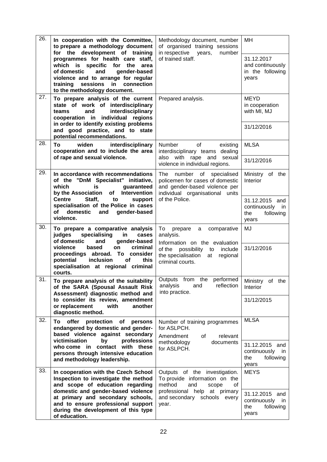<span id="page-21-0"></span>

| 26. | In cooperation with the Committee,<br>to prepare a methodology document<br>for the development of training<br>programmes for health care staff,<br>which is specific for the<br>area<br>of domestic<br>and<br>gender-based<br>violence and to arrange for regular<br>sessions<br>in<br>connection<br>training<br>to the methodology document. | Methodology document, number<br>of organised training sessions<br>in respective years, number<br>of trained staff.                                                              | MН<br>31.12.2017<br>and continuously<br>in the following<br>years                             |
|-----|-----------------------------------------------------------------------------------------------------------------------------------------------------------------------------------------------------------------------------------------------------------------------------------------------------------------------------------------------|---------------------------------------------------------------------------------------------------------------------------------------------------------------------------------|-----------------------------------------------------------------------------------------------|
| 27. | To prepare analysis of the current<br>state of work of interdisciplinary<br>interdisciplinary<br>and<br>teams<br>cooperation in individual regions<br>in order to identify existing problems<br>and good practice, and to state<br>potential recommendations.                                                                                 | Prepared analysis.                                                                                                                                                              | <b>MEYD</b><br>in cooperation<br>with MI, MJ<br>31/12/2016                                    |
| 28. | To<br>widen<br>interdisciplinary<br>cooperation and to include the area<br>of rape and sexual violence.                                                                                                                                                                                                                                       | Number<br>of<br>existing<br>interdisciplinary teams dealing<br>also with rape and sexual<br>violence in individual regions.                                                     | <b>MLSA</b><br>31/12/2016                                                                     |
| 29. | In accordance with recommendations<br>of the "DnM Specialist" initiative,<br>which<br>is<br>guaranteed<br>by the Association of<br>Intervention<br><b>Centre</b><br>Staff,<br>support<br>to<br>specialisation of the Police in cases<br>domestic<br>οf<br>and<br>gender-based<br>violence.                                                    | The<br>number of<br>specialised<br>policemen for cases of domestic<br>and gender-based violence per<br>individual organisational units<br>of the Police.                        | Ministry of the<br>Interior<br>31.12.2015 and<br>continuously in<br>the<br>following<br>years |
| 30. | To prepare a comparative analysis<br>specialising<br>judges<br>in<br>cases<br>of domestic<br>and<br>gender-based<br>violence<br>criminal<br>based<br>on<br>proceedings abroad.<br>To consider<br>potential<br>inclusion<br>of<br>this<br>specialisation at regional criminal<br>courts.                                                       | comparative<br>To<br>prepare<br>a<br>analysis.<br>Information on the evaluation<br>of the possibility to<br>include<br>the specialisation<br>at<br>regional<br>criminal courts. | <b>MJ</b><br>31/12/2016                                                                       |
| 31. | To prepare analysis of the suitability<br>of the SARA (Spousal Assault Risk<br>Assessment) diagnostic method and<br>to consider its review, amendment<br>or replacement<br>with<br>another<br>diagnostic method.                                                                                                                              | Outputs from the performed<br>reflection<br>analysis<br>and<br>into practice.                                                                                                   | Ministry of the<br><b>Interior</b><br>31/12/2015                                              |
| 32. | offer<br>To<br>protection<br>Οf<br>persons<br>endangered by domestic and gender-<br>based violence against secondary<br>victimisation<br>professions<br>by<br>who come in contact<br>with these<br>persons through intensive education<br>and methodology leadership.                                                                         | Number of training programmes<br>for ASLPCH.<br>Amendment<br>of<br>relevant<br>methodology<br>documents<br>for ASLPCH.                                                          | <b>MLSA</b><br>31.12.2015 and<br>continuously in<br>following<br>the<br>years                 |
| 33. | In cooperation with the Czech School<br>Inspection to investigate the method<br>and scope of education regarding<br>domestic and gender-based violence<br>at primary and secondary schools,<br>and to ensure professional support<br>during the development of this type<br>of education.                                                     | Outputs of the investigation.<br>To provide information on the<br>method<br>and<br>scope<br>οf<br>professional help at primary<br>and secondary schools every<br>year.          | <b>MEYS</b><br>31.12.2015 and<br>continuously<br>in<br>following<br>the<br>years              |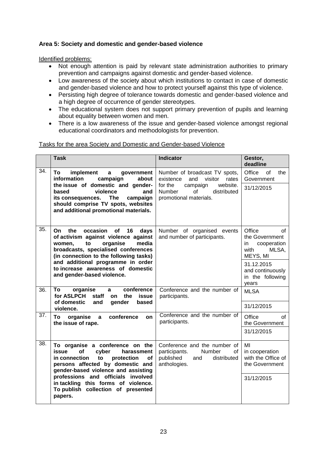## **Area 5: Society and domestic and gender-based violence**

#### Identified problems:

- Not enough attention is paid by relevant state administration authorities to primary prevention and campaigns against domestic and gender-based violence.
- Low awareness of the society about which institutions to contact in case of domestic and gender-based violence and how to protect yourself against this type of violence.
- Persisting high degree of tolerance towards domestic and gender-based violence and a high degree of occurrence of gender stereotypes.
- The educational system does not support primary prevention of pupils and learning about equality between women and men.
- There is a low awareness of the issue and gender-based violence amongst regional educational coordinators and methodologists for prevention.

#### Tasks for the area Society and Domestic and Gender-based Violence

|                   | <b>Task</b>                                                                                                                                                                                                                                                                                                                      | <b>Indicator</b>                                                                                                        | Gestor,<br>deadline                                                                             |
|-------------------|----------------------------------------------------------------------------------------------------------------------------------------------------------------------------------------------------------------------------------------------------------------------------------------------------------------------------------|-------------------------------------------------------------------------------------------------------------------------|-------------------------------------------------------------------------------------------------|
| $\overline{34}$ . | To<br>implement<br>government<br>a<br>information<br>campaign<br>about                                                                                                                                                                                                                                                           | Number of broadcast TV spots,<br>and<br>visitor<br>existence<br>rates                                                   | Office<br>of<br>the<br>Government                                                               |
|                   | the issue of domestic and gender-<br>violence<br>based<br>and<br><b>The</b><br>campaign<br>its consequences.<br>should comprise TV spots, websites<br>and additional promotional materials.                                                                                                                                      | for the<br>website.<br>campaign<br>Number<br>$\Omega$<br>distributed<br>promotional materials.                          | 31/12/2015                                                                                      |
| 35.               | the<br>occasion<br>16<br>On<br>of<br>days<br>of activism against violence against<br>media<br>women,<br>to<br>organise<br>broadcasts, specialised conferences<br>(in connection to the following tasks)<br>and additional programme in order<br>to increase awareness of domestic<br>and gender-based violence.                  | Number of organised events<br>and number of participants.                                                               | Office<br>of<br>the Government<br>cooperation<br>in.<br>with<br>MLSA,<br>MEYS, MI<br>31.12.2015 |
|                   |                                                                                                                                                                                                                                                                                                                                  |                                                                                                                         | and continuously<br>in the following<br>years                                                   |
| 36.               | conference<br>organise<br>To<br>a<br>for ASLPCH<br>staff<br>the<br>issue<br>on                                                                                                                                                                                                                                                   | Conference and the number of<br>participants.                                                                           | <b>MLSA</b>                                                                                     |
|                   | of domestic<br>gender<br>based<br>and<br>violence.                                                                                                                                                                                                                                                                               |                                                                                                                         | 31/12/2015                                                                                      |
| 37.               | conference<br>To<br>organise<br>a<br>on<br>the issue of rape.                                                                                                                                                                                                                                                                    | Conference and the number of<br>participants.                                                                           | Office<br>of<br>the Government                                                                  |
|                   |                                                                                                                                                                                                                                                                                                                                  |                                                                                                                         | 31/12/2015                                                                                      |
| 38.               | To organise a conference on the<br>issue<br>of<br>cyber<br>harassment<br>in connection<br>to<br>protection<br><b>of</b><br>persons affected by domestic and<br>gender-based violence and assisting<br>professions and officials involved<br>in tackling this forms of violence.<br>To publish collection of presented<br>papers. | Conference and the number of<br><b>Number</b><br>participants.<br>of<br>published<br>distributed<br>and<br>anthologies. | MI<br>in cooperation<br>with the Office of<br>the Government<br>31/12/2015                      |
|                   |                                                                                                                                                                                                                                                                                                                                  |                                                                                                                         |                                                                                                 |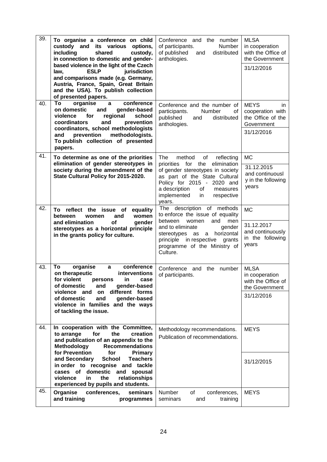| 39. | To organise a conference on child<br>custody and its various<br>options,<br>including<br>shared<br>custody,<br>in connection to domestic and gender-<br>based violence in the light of the Czech<br><b>ESLP</b><br>jurisdiction<br>law,<br>and comparisons made (e.g. Germany,<br>Austria, France, Spain, Great Britain<br>and the USA). To publish collection<br>of presented papers.                                             | Conference<br>and the number<br>of participants.<br>Number<br>of published<br>distributed<br>and<br>anthologies.                                                                                                                                          | <b>MLSA</b><br>in cooperation<br>with the Office of<br>the Government<br>31/12/2016     |
|-----|------------------------------------------------------------------------------------------------------------------------------------------------------------------------------------------------------------------------------------------------------------------------------------------------------------------------------------------------------------------------------------------------------------------------------------|-----------------------------------------------------------------------------------------------------------------------------------------------------------------------------------------------------------------------------------------------------------|-----------------------------------------------------------------------------------------|
| 40. | conference<br>Т٥<br>organise<br>a<br>on domestic<br>gender-based<br>and<br>violence<br>regional<br>school<br>for<br>coordinators<br>and<br>prevention<br>coordinators, school methodologists<br>and<br>prevention<br>methodologists.<br>To publish collection of presented<br>papers.                                                                                                                                              | Conference and the number of<br>participants.<br>Number<br>οf<br>published<br>distributed<br>and<br>anthologies.                                                                                                                                          | <b>MEYS</b><br>in.<br>cooperation with<br>the Office of the<br>Government<br>31/12/2016 |
| 41. | To determine as one of the priorities<br>elimination of gender stereotypes in<br>society during the amendment of the<br>State Cultural Policy for 2015-2020.                                                                                                                                                                                                                                                                       | The<br>method<br>of<br>reflecting<br>priorities for the<br>elimination<br>of gender stereotypes in society<br>as part of the State Cultural<br>Policy for 2015 - 2020 and<br>a description<br>of<br>measures<br>implemented<br>in<br>respective<br>years. | <b>MC</b><br>31.12.2015<br>and continuousl<br>y in the following<br>years               |
| 42. | To reflect the issue of<br>equality<br>women<br>between<br>and<br>women<br>and elimination<br>of<br>gender<br>stereotypes as a horizontal principle<br>in the grants policy for culture.                                                                                                                                                                                                                                           | The description of methods<br>to enforce the issue of equality<br>between<br>and<br>men<br>women<br>and to eliminate<br>gender<br>stereotypes<br>horizontal<br>as<br>a<br>principle in respective<br>grants<br>programme of the Ministry of<br>Culture.   | <b>MC</b><br>31.12.2017<br>and continuously<br>in the following<br>years                |
| 43. | conference<br>To<br>organise<br>$\mathbf{a}$<br>on therapeutic<br>interventions<br>for violent persons<br>in case<br>of domestic<br>and<br>gender-based<br>different forms<br>violence and<br>on<br>of domestic<br>gender-based<br>and<br>violence in families and the ways<br>of tackling the issue.                                                                                                                              | Conference<br>and<br>the number<br>of participants.                                                                                                                                                                                                       | <b>MLSA</b><br>in cooperation<br>with the Office of<br>the Government<br>31/12/2016     |
| 44. | In cooperation with the Committee,<br>to arrange<br>for<br>the<br>creation<br>and publication of an appendix to the<br><b>Recommendations</b><br><b>Methodology</b><br>for Prevention<br>for<br><b>Primary</b><br>and Secondary<br><b>School</b><br><b>Teachers</b><br>in order to recognise and tackle<br>cases of<br>domestic<br>and<br>spousal<br>violence<br>relationships<br>in<br>the<br>experienced by pupils and students. | Methodology recommendations.<br>Publication of recommendations.                                                                                                                                                                                           | <b>MEYS</b><br>31/12/2015                                                               |
| 45. | Organise<br>conferences,<br>seminars<br>and training<br>programmes                                                                                                                                                                                                                                                                                                                                                                 | Number<br>of<br>conferences,<br>seminars<br>and<br>training                                                                                                                                                                                               | <b>MEYS</b>                                                                             |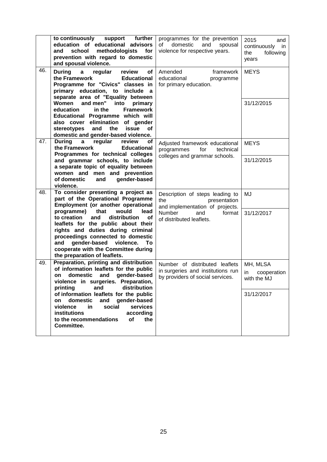|                                                                                                                                                                                                           | to continuously support<br>further<br>education of educational advisors<br>school<br>methodologists<br>for<br>and<br>prevention with regard to domestic<br>and spousal violence.                                                                                                                                | programmes for the prevention<br>domestic<br>of<br>and<br>spousal<br>violence for respective years.     | 2015<br>and<br>continuously<br>in<br>the<br>following<br>years |
|-----------------------------------------------------------------------------------------------------------------------------------------------------------------------------------------------------------|-----------------------------------------------------------------------------------------------------------------------------------------------------------------------------------------------------------------------------------------------------------------------------------------------------------------|---------------------------------------------------------------------------------------------------------|----------------------------------------------------------------|
| 46.                                                                                                                                                                                                       | <b>During</b><br>regular<br>a<br>review<br>of<br>the Framework<br><b>Educational</b><br>Programme for "Civics" classes in<br>primary education, to include a<br>separate area of "Equality between                                                                                                              | Amended<br>framework<br>educational<br>programme<br>for primary education.                              | <b>MEYS</b>                                                    |
|                                                                                                                                                                                                           | <b>Women</b><br>and men"<br>into<br>primary<br><b>Framework</b><br>education<br>in the<br>Educational Programme which will<br>also cover elimination<br>of gender<br>issue<br>stereotypes<br>and<br>the<br><b>of</b><br>domestic and gender-based violence.                                                     |                                                                                                         | 31/12/2015                                                     |
| 47.                                                                                                                                                                                                       | <b>During</b><br>regular<br>$\mathbf{a}$<br>review<br>οf<br>the Framework<br><b>Educational</b><br>Programmes for technical colleges                                                                                                                                                                            | Adjusted framework educational<br>for<br>technical<br>programmes<br>colleges and grammar schools.       | <b>MEYS</b>                                                    |
|                                                                                                                                                                                                           | and grammar schools, to include<br>a separate topic of equality between<br>women and men and prevention<br>gender-based<br>of domestic<br>and<br>violence.                                                                                                                                                      |                                                                                                         | 31/12/2015                                                     |
| 48.                                                                                                                                                                                                       | To consider presenting a project as<br>part of the Operational Programme<br>Employment (or another operational                                                                                                                                                                                                  | Description of steps leading to<br>the<br>presentation<br>and implementation of projects.               | MJ                                                             |
|                                                                                                                                                                                                           | programme)<br>that<br>would<br>lead<br>and<br>distribution<br>to creation<br>οf<br>leaflets for the public about their<br>rights and duties during criminal<br>proceedings connected to domestic<br>gender-based violence.<br>and<br>To.<br>cooperate with the Committee during<br>the preparation of leaflets. | <b>Number</b><br>format<br>and<br>of distributed leaflets.                                              | 31/12/2017                                                     |
| 49.                                                                                                                                                                                                       | Preparation, printing and distribution<br>of information leaflets for the public<br>domestic<br>and<br>gender-based<br>on<br>violence in surgeries. Preparation,<br>distribution<br>printing<br>and                                                                                                             | Number of distributed leaflets<br>in surgeries and institutions run<br>by providers of social services. | MH, MLSA<br>in<br>cooperation<br>with the MJ                   |
| of information leaflets for the public<br>domestic<br>and<br>gender-based<br>on<br>social<br>services<br>violence<br>in<br>institutions<br>according<br>to the recommendations<br>of<br>the<br>Committee. |                                                                                                                                                                                                                                                                                                                 | 31/12/2017                                                                                              |                                                                |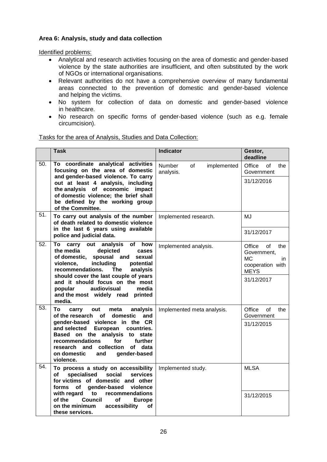## <span id="page-25-0"></span>**Area 6: Analysis, study and data collection**

Identified problems:

- Analytical and research activities focusing on the area of domestic and gender-based violence by the state authorities are insufficient, and often substituted by the work of NGOs or international organisations.
- Relevant authorities do not have a comprehensive overview of many fundamental areas connected to the prevention of domestic and gender-based violence and helping the victims.
- No system for collection of data on domestic and gender-based violence in healthcare.
- No research on specific forms of gender-based violence (such as e.g. female circumcision).

#### Tasks for the area of Analysis, Studies and Data Collection:

|     | Task                                                                                                                                                                                                                                                                              | <b>Indicator</b>                                | Gestor,<br>deadline                                                                              |
|-----|-----------------------------------------------------------------------------------------------------------------------------------------------------------------------------------------------------------------------------------------------------------------------------------|-------------------------------------------------|--------------------------------------------------------------------------------------------------|
| 50. | To coordinate analytical activities<br>focusing on the area of domestic<br>and gender-based violence. To carry                                                                                                                                                                    | implemented<br><b>Number</b><br>of<br>analysis. | Office<br>of<br>the<br>Government                                                                |
|     | out at least 4 analysis, including<br>the analysis of economic impact<br>of domestic violence; the brief shall<br>be defined by the working group<br>of the Committee.                                                                                                            |                                                 | 31/12/2016                                                                                       |
| 51. | To carry out analysis of the number<br>of death related to domestic violence                                                                                                                                                                                                      | Implemented research.                           | MJ                                                                                               |
|     | in the last 6 years using available<br>police and judicial data.                                                                                                                                                                                                                  |                                                 | 31/12/2017                                                                                       |
| 52. | <b>of</b><br>carry out<br>analysis<br>how<br>To<br>the media<br>depicted<br>cases<br>of domestic, spousal and<br>sexual<br>including<br>violence.<br>potential<br>recommendations.<br>analysis<br>The<br>should cover the last couple of years<br>and it should focus on the most | Implemented analysis.                           | Office<br>of<br>the<br>Government,<br>МC<br>in.<br>cooperation with<br><b>MEYS</b><br>31/12/2017 |
|     | audiovisual<br>media<br>popular<br>and the most widely read printed<br>media.                                                                                                                                                                                                     |                                                 |                                                                                                  |
| 53. | analysis<br>To<br>carry<br>out<br>meta<br>of the research<br>domestic<br>and<br>of                                                                                                                                                                                                | Implemented meta analysis.                      | Office<br>of<br>the<br>Government                                                                |
|     | gender-based violence in the CR<br>European<br>and selected<br>countries.<br>Based on the analysis<br>to state<br>recommendations<br>for<br>further<br>research and collection<br>of data<br>on domestic<br>and<br>gender-based<br>violence.                                      |                                                 | 31/12/2015                                                                                       |
| 54. | To process a study on accessibility<br>specialised<br>social<br>of<br>services<br>for victims of domestic and other<br>forms of<br>gender-based<br>violence                                                                                                                       | Implemented study.                              | <b>MLSA</b>                                                                                      |
|     | recommendations<br>with regard<br>to<br>of the<br><b>Council</b><br>оf<br><b>Europe</b><br>on the minimum<br>accessibility<br>οf<br>these services.                                                                                                                               |                                                 | 31/12/2015                                                                                       |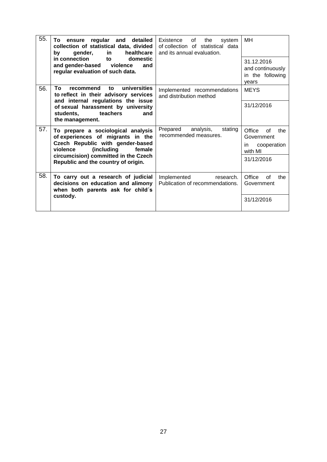<span id="page-26-0"></span>

| 55.<br>regular and<br>detailed<br>To ensure<br>collection of statistical data, divided<br>in<br>healthcare<br>gender,<br>by the set of the set of the set of the set of the set of the set of the set of the set of the set of the set o<br>in connection<br>to<br>domestic<br>and gender-based violence<br>and<br>regular evaluation of such data. | Existence<br>of<br>the<br>system<br>of collection of statistical data<br>and its annual evaluation.                                             | MH                                                          |                                                                    |
|-----------------------------------------------------------------------------------------------------------------------------------------------------------------------------------------------------------------------------------------------------------------------------------------------------------------------------------------------------|-------------------------------------------------------------------------------------------------------------------------------------------------|-------------------------------------------------------------|--------------------------------------------------------------------|
|                                                                                                                                                                                                                                                                                                                                                     |                                                                                                                                                 | 31.12.2016<br>and continuously<br>in the following<br>years |                                                                    |
| 56.                                                                                                                                                                                                                                                                                                                                                 | universities<br>Τo<br>recommend<br>to<br>to reflect in their advisory services                                                                  | Implemented recommendations<br>and distribution method      | <b>MEYS</b>                                                        |
|                                                                                                                                                                                                                                                                                                                                                     | and internal regulations the issue<br>of sexual harassment by university<br>teachers<br>students,<br>and<br>the management.                     |                                                             | 31/12/2016                                                         |
| 57.                                                                                                                                                                                                                                                                                                                                                 | To prepare a sociological analysis<br>of experiences of migrants in the<br>Czech Republic with gender-based<br>(including<br>violence<br>female | Prepared<br>analysis,<br>stating<br>recommended measures.   | Office<br>the<br>Ωf<br>Government<br>cooperation<br>in.<br>with MI |
|                                                                                                                                                                                                                                                                                                                                                     | circumcision) committed in the Czech<br>Republic and the country of origin.                                                                     |                                                             | 31/12/2016                                                         |
| 58.                                                                                                                                                                                                                                                                                                                                                 | To carry out a research of judicial<br>decisions on education and alimony<br>when both parents ask for child's                                  | Implemented<br>research.<br>Publication of recommendations. | Office<br>0f<br>the<br>Government                                  |
|                                                                                                                                                                                                                                                                                                                                                     | custody.                                                                                                                                        |                                                             | 31/12/2016                                                         |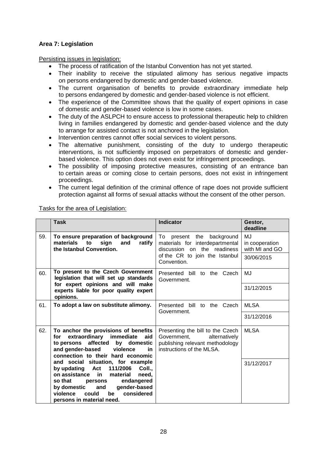## **Area 7: Legislation**

Persisting issues in legislation:

- The process of ratification of the Istanbul Convention has not yet started.
- Their inability to receive the stipulated alimony has serious negative impacts on persons endangered by domestic and gender-based violence.
- The current organisation of benefits to provide extraordinary immediate help to persons endangered by domestic and gender-based violence is not efficient.
- The experience of the Committee shows that the quality of expert opinions in case of domestic and gender-based violence is low in some cases.
- The duty of the ASLPCH to ensure access to professional therapeutic help to children living in families endangered by domestic and gender-based violence and the duty to arrange for assisted contact is not anchored in the legislation.
- Intervention centres cannot offer social services to violent persons.
- The alternative punishment, consisting of the duty to undergo therapeutic interventions, is not sufficiently imposed on perpetrators of domestic and genderbased violence. This option does not even exist for infringement proceedings.
- The possibility of imposing protective measures, consisting of an entrance ban to certain areas or coming close to certain persons, does not exist in infringement proceedings.
- The current legal definition of the criminal offence of rape does not provide sufficient protection against all forms of sexual attacks without the consent of the other person.

**Task Indicator Gestor, deadline** 59. **To ensure preparation of background materials to sign and ratify the Istanbul Convention.** To present the background materials for interdepartmental discussion on the readiness of the CR to join the Istanbul Convention. MJ in cooperation with MI and GO 30/06/2015 60. **To present to the Czech Government legislation that will set up standards for expert opinions and will make experts liable for poor quality expert opinions.** Presented bill to the Czech Government. MJ 31/12/2015 61. **To adopt a law on substitute alimony.** Presented bill to the Czech Government. MLSA 31/12/2016 62. **To anchor the provisions of benefits for extraordinary immediate aid to persons affected by domestic and gender-based violence in connection to their hard economic and social situation, for example by updating Act 111/2006 Coll., on assistance in material need, so that persons endangered by domestic and gender-based**  violence could **persons in material need.** Presenting the bill to the Czech Government, alternatively publishing relevant methodology instructions of the MLSA. MLSA 31/12/2017

#### Tasks for the area of Legislation: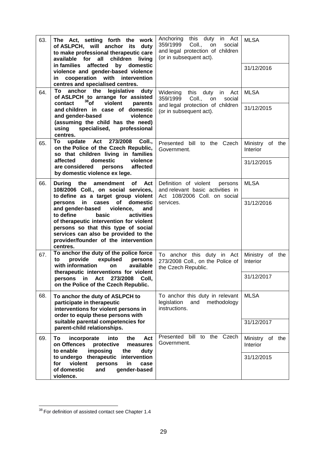| 63. | The Act, setting forth the work<br>of ASLPCH, will anchor its<br>duty<br>to make professional therapeutic care<br>children<br>available for all<br>living<br>in families<br>affected<br>by domestic<br>violence and gender-based violence<br>in cooperation with intervention                      | Anchoring this duty in Act<br>359/1999<br>Coll.,<br>social<br>on.<br>and legal protection of children<br>(or in subsequent act). | <b>MLSA</b><br>31/12/2016          |
|-----|----------------------------------------------------------------------------------------------------------------------------------------------------------------------------------------------------------------------------------------------------------------------------------------------------|----------------------------------------------------------------------------------------------------------------------------------|------------------------------------|
|     | centres and specialised centres.                                                                                                                                                                                                                                                                   |                                                                                                                                  |                                    |
| 64. | anchor the legislative duty<br>To<br>of ASLPCH to arrange for assisted<br>$38$ of<br>violent<br>contact<br>parents                                                                                                                                                                                 | Widening this duty in Act<br>359/1999<br>social<br>Coll.,<br>on                                                                  | <b>MLSA</b>                        |
|     | and children in case of domestic<br>and gender-based<br>violence<br>(assuming the child has the need)<br>specialised, professional<br>using<br>centres.                                                                                                                                            | and legal protection of children<br>(or in subsequent act).                                                                      | 31/12/2015                         |
| 65. | To<br>update Act 273/2008<br>Coll<br>on the Police of the Czech Republic,<br>so that children living in families                                                                                                                                                                                   | Presented bill to the Czech<br>Government.                                                                                       | Ministry of the<br>Interior        |
|     | affected<br>domestic<br>violence<br>are considered<br>affected<br>persons<br>by domestic violence ex lege.                                                                                                                                                                                         |                                                                                                                                  | 31/12/2015                         |
| 66. | During the amendment<br>of Act<br>108/2006 Coll., on social services,<br>to define as a target group violent                                                                                                                                                                                       | Definition of violent<br>persons<br>and relevant basic activities in<br>Act 108/2006 Coll. on social                             | <b>MLSA</b>                        |
|     | in<br>of<br>domestic<br>persons<br>cases<br>and gender-based<br>violence,<br>and<br>to define<br>activities<br>basic<br>of therapeutic intervention for violent<br>persons so that this type of social<br>services can also be provided to the<br>provider/founder of the intervention<br>centres. | services.                                                                                                                        | 31/12/2016                         |
| 67. | To anchor the duty of the police force<br>provide expulsed<br>persons<br>to<br>with information<br>available<br>on<br>therapeutic interventions for violent                                                                                                                                        | To anchor this duty in Act<br>273/2008 Coll., on the Police of<br>the Czech Republic.                                            | Ministry of the<br><b>Interior</b> |
|     | persons in Act 273/2008 Coll,<br>on the Police of the Czech Republic.                                                                                                                                                                                                                              |                                                                                                                                  | 31/12/2017                         |
| 68. | To anchor the duty of ASLPCH to<br>participate in therapeutic<br>interventions for violent persons in<br>order to equip these persons with                                                                                                                                                         | To anchor this duty in relevant<br>legislation<br>methodology<br>and<br>instructions.                                            | <b>MLSA</b>                        |
|     | suitable parental competencies for<br>parent-child relationships.                                                                                                                                                                                                                                  |                                                                                                                                  | 31/12/2017                         |
| 69. | incorporate<br>into<br>the<br>Act<br>To<br>protective<br>on Offences<br>measures<br>imposing<br>to enable<br>the<br>duty                                                                                                                                                                           | Presented bill to the Czech<br>Government.                                                                                       | Ministry of the<br>Interior        |
|     | to undergo therapeutic intervention<br>violent<br>for<br>persons<br>in<br>case<br>of domestic<br>gender-based<br>and<br>violence.                                                                                                                                                                  |                                                                                                                                  | 31/12/2015                         |

 $\overline{\phantom{a}}$  $38$  For definition of assisted contact see Chapter 1.4